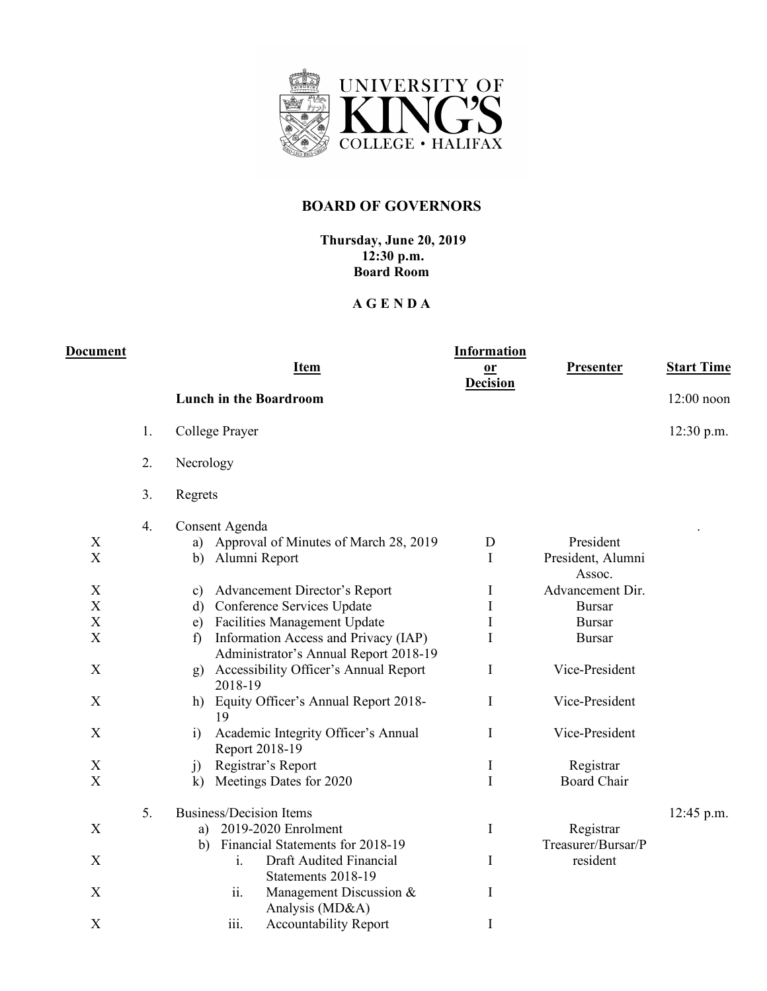

## **BOARD OF GOVERNORS**

## **Thursday, June 20, 2019 12:30 p.m. Board Room**

## **A G E N D A**

| <b>Document</b>                                                                                                       |    |                                                                                                                                                                                                                                                                                                                                                                                                                             | <b>Information</b>                   |                                                                                                                                                     |                   |
|-----------------------------------------------------------------------------------------------------------------------|----|-----------------------------------------------------------------------------------------------------------------------------------------------------------------------------------------------------------------------------------------------------------------------------------------------------------------------------------------------------------------------------------------------------------------------------|--------------------------------------|-----------------------------------------------------------------------------------------------------------------------------------------------------|-------------------|
|                                                                                                                       |    | <b>Item</b>                                                                                                                                                                                                                                                                                                                                                                                                                 | $or$<br><b>Decision</b>              | <b>Presenter</b>                                                                                                                                    | <b>Start Time</b> |
|                                                                                                                       |    | <b>Lunch in the Boardroom</b>                                                                                                                                                                                                                                                                                                                                                                                               |                                      |                                                                                                                                                     | $12:00$ noon      |
|                                                                                                                       | 1. | College Prayer                                                                                                                                                                                                                                                                                                                                                                                                              |                                      |                                                                                                                                                     | 12:30 p.m.        |
|                                                                                                                       | 2. | Necrology                                                                                                                                                                                                                                                                                                                                                                                                                   |                                      |                                                                                                                                                     |                   |
|                                                                                                                       | 3. | Regrets                                                                                                                                                                                                                                                                                                                                                                                                                     |                                      |                                                                                                                                                     |                   |
| X<br>$\mathbf X$<br>$\boldsymbol{\mathrm{X}}$<br>$\overline{X}$<br>$\mathbf X$<br>$\boldsymbol{\mathrm{X}}$<br>X<br>X | 4. | Consent Agenda<br>Approval of Minutes of March 28, 2019<br>a)<br>Alumni Report<br>b)<br>Advancement Director's Report<br>c)<br>Conference Services Update<br>d)<br><b>Facilities Management Update</b><br>e)<br>Information Access and Privacy (IAP)<br>$\mathbf{f}$<br>Administrator's Annual Report 2018-19<br>Accessibility Officer's Annual Report<br>g)<br>2018-19<br>Equity Officer's Annual Report 2018-<br>h)<br>19 | D<br>T<br>Ι<br>I<br>I<br>I<br>I<br>I | President<br>President, Alumni<br>Assoc.<br>Advancement Dir.<br><b>Bursar</b><br><b>Bursar</b><br><b>Bursar</b><br>Vice-President<br>Vice-President |                   |
| X                                                                                                                     |    | Academic Integrity Officer's Annual<br>$\overline{1}$<br>Report 2018-19                                                                                                                                                                                                                                                                                                                                                     | I                                    | Vice-President                                                                                                                                      |                   |
| X<br>$\mathbf X$                                                                                                      |    | Registrar's Report<br>j)<br>Meetings Dates for 2020<br>$\bf k)$                                                                                                                                                                                                                                                                                                                                                             | $\mathbf I$<br>I                     | Registrar<br><b>Board Chair</b>                                                                                                                     |                   |
| X                                                                                                                     | 5. | <b>Business/Decision Items</b><br>2019-2020 Enrolment<br>a)<br>Financial Statements for 2018-19<br>b)                                                                                                                                                                                                                                                                                                                       | I                                    | Registrar<br>Treasurer/Bursar/P                                                                                                                     | 12:45 p.m.        |
| X                                                                                                                     |    | Draft Audited Financial<br>$\mathbf{i}$ .<br>Statements 2018-19                                                                                                                                                                                                                                                                                                                                                             | I                                    | resident                                                                                                                                            |                   |
| X                                                                                                                     |    | ii.<br>Management Discussion &<br>Analysis (MD&A)                                                                                                                                                                                                                                                                                                                                                                           | I                                    |                                                                                                                                                     |                   |
| $\mathbf X$                                                                                                           |    | iii.<br>Accountability Report                                                                                                                                                                                                                                                                                                                                                                                               | $\mathbf I$                          |                                                                                                                                                     |                   |